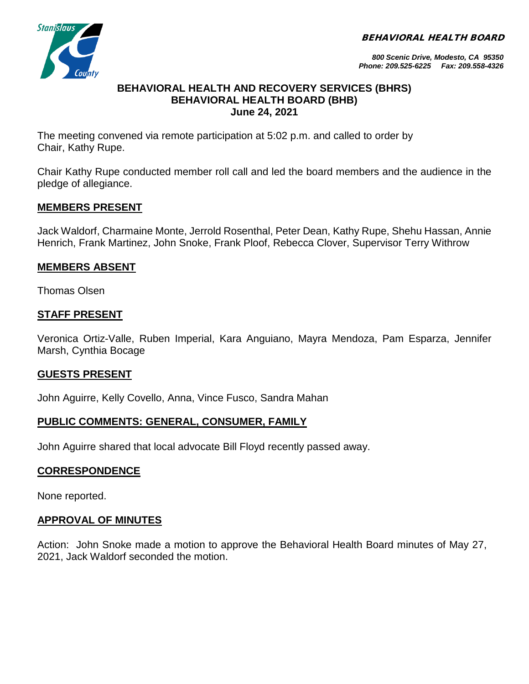BEHAVIORAL HEALTH BOARD



*800 Scenic Drive, Modesto, CA 95350 Phone: 209.525-6225 Fax: 209.558-4326*

#### **BEHAVIORAL HEALTH AND RECOVERY SERVICES (BHRS) BEHAVIORAL HEALTH BOARD (BHB) June 24, 2021**

The meeting convened via remote participation at 5:02 p.m. and called to order by Chair, Kathy Rupe.

Chair Kathy Rupe conducted member roll call and led the board members and the audience in the pledge of allegiance.

## **MEMBERS PRESENT**

Jack Waldorf, Charmaine Monte, Jerrold Rosenthal, Peter Dean, Kathy Rupe, Shehu Hassan, Annie Henrich, Frank Martinez, John Snoke, Frank Ploof, Rebecca Clover, Supervisor Terry Withrow

## **MEMBERS ABSENT**

Thomas Olsen

### **STAFF PRESENT**

Veronica Ortiz-Valle, Ruben Imperial, Kara Anguiano, Mayra Mendoza, Pam Esparza, Jennifer Marsh, Cynthia Bocage

### **GUESTS PRESENT**

John Aguirre, Kelly Covello, Anna, Vince Fusco, Sandra Mahan

# **PUBLIC COMMENTS: GENERAL, CONSUMER, FAMILY**

John Aguirre shared that local advocate Bill Floyd recently passed away.

### **CORRESPONDENCE**

None reported.

# **APPROVAL OF MINUTES**

Action: John Snoke made a motion to approve the Behavioral Health Board minutes of May 27, 2021, Jack Waldorf seconded the motion.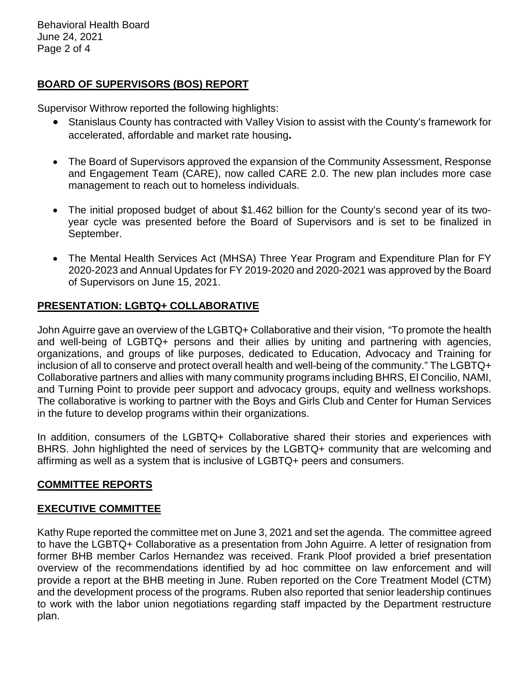Behavioral Health Board June 24, 2021 Page 2 of 4

## **BOARD OF SUPERVISORS (BOS) REPORT**

Supervisor Withrow reported the following highlights:

- Stanislaus County has contracted with Valley Vision to assist with the County's framework for accelerated, affordable and market rate housing**.**
- The Board of Supervisors approved the expansion of the Community Assessment, Response and Engagement Team (CARE), now called CARE 2.0. The new plan includes more case management to reach out to homeless individuals.
- The initial proposed budget of about \$1.462 billion for the County's second year of its twoyear cycle was presented before the Board of Supervisors and is set to be finalized in September.
- The Mental Health Services Act (MHSA) Three Year Program and Expenditure Plan for FY 2020-2023 and Annual Updates for FY 2019-2020 and 2020-2021 was approved by the Board of Supervisors on June 15, 2021.

## **PRESENTATION: LGBTQ+ COLLABORATIVE**

John Aguirre gave an overview of the LGBTQ+ Collaborative and their vision, "To promote the health and well-being of LGBTQ+ persons and their allies by uniting and partnering with agencies, organizations, and groups of like purposes, dedicated to Education, Advocacy and Training for inclusion of all to conserve and protect overall health and well-being of the community." The LGBTQ+ Collaborative partners and allies with many community programs including BHRS, El Concilio, NAMI, and Turning Point to provide peer support and advocacy groups, equity and wellness workshops. The collaborative is working to partner with the Boys and Girls Club and Center for Human Services in the future to develop programs within their organizations.

In addition, consumers of the LGBTQ+ Collaborative shared their stories and experiences with BHRS. John highlighted the need of services by the LGBTQ+ community that are welcoming and affirming as well as a system that is inclusive of LGBTQ+ peers and consumers.

### **COMMITTEE REPORTS**

### **EXECUTIVE COMMITTEE**

Kathy Rupe reported the committee met on June 3, 2021 and set the agenda. The committee agreed to have the LGBTQ+ Collaborative as a presentation from John Aguirre. A letter of resignation from former BHB member Carlos Hernandez was received. Frank Ploof provided a brief presentation overview of the recommendations identified by ad hoc committee on law enforcement and will provide a report at the BHB meeting in June. Ruben reported on the Core Treatment Model (CTM) and the development process of the programs. Ruben also reported that senior leadership continues to work with the labor union negotiations regarding staff impacted by the Department restructure plan.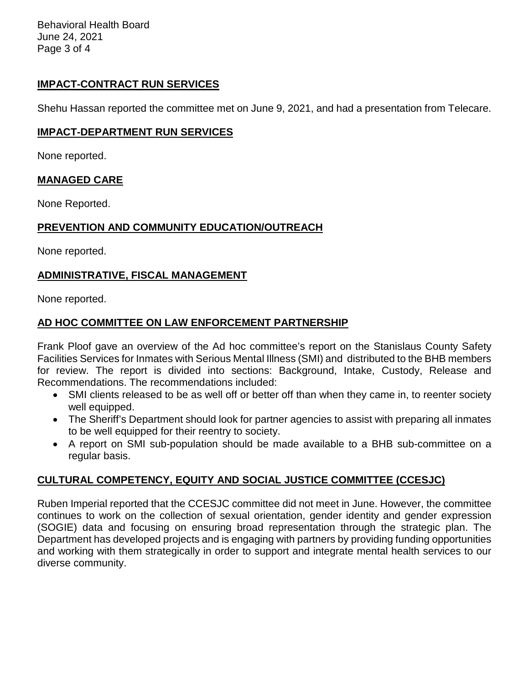Behavioral Health Board June 24, 2021 Page 3 of 4

# **IMPACT-CONTRACT RUN SERVICES**

Shehu Hassan reported the committee met on June 9, 2021, and had a presentation from Telecare.

#### **IMPACT-DEPARTMENT RUN SERVICES**

None reported.

### **MANAGED CARE**

None Reported.

### **PREVENTION AND COMMUNITY EDUCATION/OUTREACH**

None reported.

## **ADMINISTRATIVE, FISCAL MANAGEMENT**

None reported.

## **AD HOC COMMITTEE ON LAW ENFORCEMENT PARTNERSHIP**

Frank Ploof gave an overview of the Ad hoc committee's report on the Stanislaus County Safety Facilities Services for Inmates with Serious Mental Illness (SMI) and distributed to the BHB members for review. The report is divided into sections: Background, Intake, Custody, Release and Recommendations. The recommendations included:

- SMI clients released to be as well off or better off than when they came in, to reenter society well equipped.
- The Sheriff's Department should look for partner agencies to assist with preparing all inmates to be well equipped for their reentry to society.
- A report on SMI sub-population should be made available to a BHB sub-committee on a regular basis.

# **CULTURAL COMPETENCY, EQUITY AND SOCIAL JUSTICE COMMITTEE (CCESJC)**

Ruben Imperial reported that the CCESJC committee did not meet in June. However, the committee continues to work on the collection of sexual orientation, gender identity and gender expression (SOGIE) data and focusing on ensuring broad representation through the strategic plan. The Department has developed projects and is engaging with partners by providing funding opportunities and working with them strategically in order to support and integrate mental health services to our diverse community.